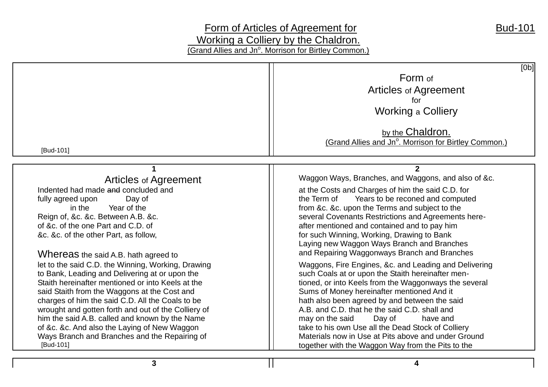# Form of Articles of Agreement for<br>
Bud-101 **Working a Colliery by the Chaldron.** (Grand Allies and Jn<sup>o</sup>. Morrison for Birtley Common.)

| [Bud-101]                                                                                                                                                                                                                                                                                                                                                                                                                                                                                                                                                                                                                                                                                                                                                                        | [Ob]<br>Form of<br><b>Articles of Agreement</b><br>for<br><b>Working a Colliery</b><br>by the Chaldron.<br>(Grand Allies and Jn <sup>o</sup> . Morrison for Birtley Common.)                                                                                                                                                                                                                                                                                                                                                                                                                                                                                                                                                                                                                                                                                                                                                                                                                       |
|----------------------------------------------------------------------------------------------------------------------------------------------------------------------------------------------------------------------------------------------------------------------------------------------------------------------------------------------------------------------------------------------------------------------------------------------------------------------------------------------------------------------------------------------------------------------------------------------------------------------------------------------------------------------------------------------------------------------------------------------------------------------------------|----------------------------------------------------------------------------------------------------------------------------------------------------------------------------------------------------------------------------------------------------------------------------------------------------------------------------------------------------------------------------------------------------------------------------------------------------------------------------------------------------------------------------------------------------------------------------------------------------------------------------------------------------------------------------------------------------------------------------------------------------------------------------------------------------------------------------------------------------------------------------------------------------------------------------------------------------------------------------------------------------|
| <b>Articles of Agreement</b><br>Indented had made and concluded and<br>fully agreed upon<br>Day of<br>Year of the<br>in the<br>Reign of, &c. &c. Between A.B. &c.<br>of &c. of the one Part and C.D. of<br>&c. &c. of the other Part, as follow,<br>Whereas the said A.B. hath agreed to<br>let to the said C.D. the Winning, Working, Drawing<br>to Bank, Leading and Delivering at or upon the<br>Staith hereinafter mentioned or into Keels at the<br>said Staith from the Waggons at the Cost and<br>charges of him the said C.D. All the Coals to be<br>wrought and gotten forth and out of the Colliery of<br>him the said A.B. called and known by the Name<br>of &c. &c. And also the Laying of New Waggon<br>Ways Branch and Branches and the Repairing of<br>[Bud-101] | Waggon Ways, Branches, and Waggons, and also of &c.<br>at the Costs and Charges of him the said C.D. for<br>Years to be reconed and computed<br>the Term of<br>from &c. &c. upon the Terms and subject to the<br>several Covenants Restrictions and Agreements here-<br>after mentioned and contained and to pay him<br>for such Winning, Working, Drawing to Bank<br>Laying new Waggon Ways Branch and Branches<br>and Repairing Waggonways Branch and Branches<br>Waggons, Fire Engines, &c. and Leading and Delivering<br>such Coals at or upon the Staith hereinafter men-<br>tioned, or into Keels from the Waggonways the several<br>Sums of Money hereinafter mentioned And it<br>hath also been agreed by and between the said<br>A.B. and C.D. that he the said C.D. shall and<br>Day of<br>may on the said<br>have and<br>take to his own Use all the Dead Stock of Colliery<br>Materials now in Use at Pits above and under Ground<br>together with the Waggon Way from the Pits to the |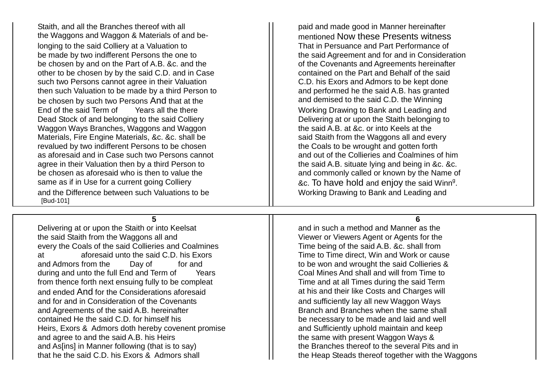Staith, and all the Branches thereof with all **paid and made good in Manner hereinafter** the Waggons and Waggon & Materials of and be- mentioned Now these Presents witness longing to the said Colliery at a Valuation to That in Persuance and Part Performance of be made by two indifferent Persons the one to the said Agreement and for and in Consideration be chosen by and on the Part of A.B. &c. and the **only and in the covenants and Agreements** hereinafter other to be chosen by by the said C.D. and in Case **contained on the Part and Behalf of the said** such two Persons cannot agree in their Valuation **C.D.** his Exors and Admors to be kept done then such Valuation to be made by a third Person to **and performed he the said A.B.** has granted be chosen by such two Persons And that at the  $\vert$  and demised to the said C.D. the Winning End of the said Term of Years all the there Working Drawing to Bank and Leading and Dead Stock of and belonging to the said Colliery **Delivering at or upon the Staith belonging to** Waggon Ways Branches, Waggons and Waggon  $\vert\,\vert$  the said A.B. at &c. or into Keels at the Materials, Fire Engine Materials, &c. &c. shall be  $\vert$  said Staith from the Waggons all and every revalued by two indifferent Persons to be chosen the Coals to be wrought and gotten forth<br>as aforesaid and in Case such two Persons cannot and streamed and out of the Collieries and Coalmines of him as aforesaid and in Case such two Persons cannot agree in their Valuation then by a third Person to **the said A.B.** situate lying and being in &c. &c. be chosen as aforesaid who is then to value the and and commonly called or known by the Name of same as if in Use for a current going Colliery  $||$  &c. To have hold and enjoy the said Winn $^{\mathfrak{g}}$ . and the Difference between such Valuations to be Working Drawing to Bank and Leading and [Bud-101]

Delivering at or upon the Staith or into Keelsat and and in such a method and Manner as the the said Staith from the Waggons all and Viewer or Viewer or Viewers Agent or Agents for the every the Coals of the said Collieries and Coalmines The Time being of the said A.B. &c. shall from at aforesaid unto the said C.D. his Exors The Time to Time direct. Win and Work or cause and Admors from the Day of for and to be won and wrought the said Collieries & during and unto the full End and Term of Years Figure 1. Coal Mines And shall and will from Time to from thence forth next ensuing fully to be compleat Time and at all Times during the said Term and ended And for the Considerations aforesaid at his and their like Costs and Charges will and for and in Consideration of the Covenants and Sufficiently lay all new Waggon Ways and Agreements of the said A.B. hereinafter **Branch and Branch and Branches when the same shall** contained He the said C.D. for himself his be necessary to be made and laid and well Heirs, Exors & Admors doth hereby covenent promise **Admorphish and Sufficiently uphold maintain and keep** and agree to and the said A.B. his Heirs the same with present Waggon Ways & and As[ins] in Manner following (that is to say)  $\vert \vert$  the Branches thereof to the several Pits and in that he the said C.D. his Exors & Admors shall the Heap Steads thereof together with the Waggons

**5 6**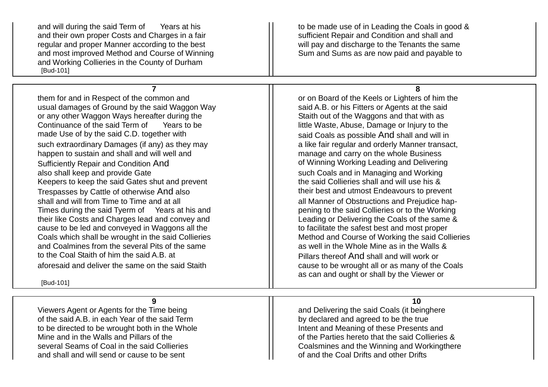and will during the said Term of Years at his to be made use of in Leading the Coals in good & and their own proper Costs and Charges in a fair surfluit sufficient Repair and Condition and shall and regular and proper Manner according to the best whill pay and discharge to the Tenants the same and most improved Method and Course of Winning Summer Sum and Sums as are now paid and payable to and Working Collieries in the County of Durham [Bud-101]

them for and in Respect of the common and **or on Board of the Keels or Lighters of him the** usual damages of Ground by the said Waggon Way said A.B. or his Fitters or Agents at the said or any other Waggon Ways hereafter during the **Staith out of the Waggons and that with as**<br>Continuance of the said Term of Years to be **Staith Access of the Staith out of the Waste**. Damage or Injury to the made Use of by the said C.D. together with  $\lvert \rvert$  said Coals as possible And shall and will in such extraordinary Damages (if any) as they may a state the state fair regular and orderly Manner transact, happen to sustain and shall and will well and manage and carry on the whole Business Sufficiently Repair and Condition And **Outlet Sufficiently Repair and Condition And Condition Conduct Conduct Condition**<br>also shall keep and provide Gate **outlet and Condition Condition** Such Coals and in Managing and Work Keepers to keep the said Gates shut and prevent  $\vert$  the said Collieries shall and will use his & Trespasses by Cattle of otherwise And also the state of their best and utmost Endeavours to prevent shall and will from Time to Time and at all all all all Manner of Obstructions and Prejudice hap-Times during the said Tyerm of Years at his and **Figure 1** pening to the said Collieries or to the Working their like Costs and Charges lead and convey and Leading or Delivering the Coals of the same & cause to be led and conveyed in Waggons all the to facilitate the safest best and most proper Coals which shall be wrought in the said Collieries Method and Course of Working the said Collieries and Coalmines from the several Pits of the same  $\vert$  as well in the Whole Mine as in the Walls & to the Coal Staith of him the said A.B. at Pillars thereof And shall and will work or aforesaid and deliver the same on the said Staith cause to be wrought all or as many of the Coals

[Bud-101]

Viewers Agent or Agents for the Time being and Delivering the said Coals (it beinghere of the said A.B. in each Year of the said Term by declared and agreed to be the true to be directed to be wrought both in the Whole Intent and Meaning of these Presents and and shall and will send or cause to be sent **of and the Coal Drifts and other Drifts** 

**7 8**

Years to be little Waste, Abuse, Damage or Injury to the such Coals and in Managing and Working as can and ought or shall by the Viewer or

#### **9 10**

Mine and in the Walls and Pillars of the  $\sim$   $\sim$   $\sim$  of the Parties hereto that the said Collieries & several Seams of Coal in the said Collieries Coalsmines and the Winning and Workingthere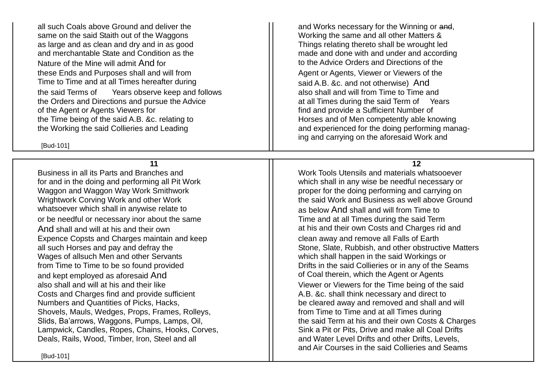all such Coals above Ground and deliver the  $\vert$  and Works necessary for the Winning or and, same on the said Staith out of the Waggons Matters Working the same and all other Matters & as large and as clean and dry and in as good and Things relating thereto shall be wrought led<br>and merchantable State and Condition as the state of the made and done with and under and accordi Nature of the Mine will admit And for the Advice Orders and Directions of the Nature of the Nature of the Natur these Ends and Purposes shall and will from  $\vert$  Agent or Agents, Viewer or Viewers of the Time to Time and at all Times hereafter during<br>the said Terms of Sears observe keep and follows also shall and will from Time to Time and the said Terms of Years observe keep and follows the Orders and Directions and pursue the Advice at all Times during the said Term of Years of the Agent or Agents Viewers for find and provide a Sufficient Number of the Time being of the said A.B. &c. relating to  $\parallel$  Horses and of Men competently able knowing the Working the said Collieries and Leading and and and experienced for the doing performing manag-

[Bud-101]

Business in all its Parts and Branches and Work Tools Utensils and materials whatsooever for and in the doing and performing all Pit Work which shall in any wise be needful necessary or Waggon and Waggon Way Work Smithwork **proper for the doing performing and carrying on** Wrightwork Corving Work and other Work the said Work and Business as well above Ground whatsoever which shall in anywise relate to  $\vert$  as below And shall and will from Time to or be needful or necessary inor about the same The Time and at all Times during the said Term And shall and will at his and their own at his and their own at his and their own Costs and Charges rid and Expence Copsts and Charges maintain and keep **clean away and remove all Falls of Earth** Wages of allsuch Men and other Servants Wages of allsuch Men and other Servants from Time to Time to be so found provided **Drifts in the said Collieries or in any of the Seams** and kept employed as aforesaid And **of Coal therein, which the Agent or Agents** also shall and will at his and their like Viewer or Viewer or Viewers for the Time being of the said Costs and Charges find and provide sufficient A.B. &c. shall think necessary and direct to Numbers and Quantities of Picks, Hacks,  $\frac{1}{1}$  be cleared away and removed and shall and will Shovels, Mauls, Wedges, Props, Frames, Rolleys, From Time to Time and at all Times during Slids, Ba'arrows, Waggons, Pumps, Lamps, Oil, The Said Term at his and their own Costs & Charges Lampwick, Candles, Ropes, Chains, Hooks, Corves, Supermann and Drifts, Drive and make all Coal Drifts Deals, Rails, Wood, Timber, Iron, Steel and all and Water Level Drifts and other Drifts, Levels, Levels,

made and done with and under and according ing and carrying on the aforesaid Work and

**11 12**

all such Horses and pay and defray the Stone, Slate, Rubbish, and other obstructive Matters and Air Courses in the said Collieries and Seams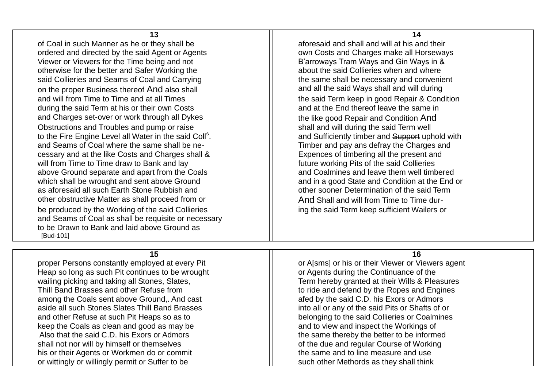**13 14** of Coal in such Manner as he or they shall be  $\vert$  aforesaid and shall and will at his and their ordered and directed by the said Agent or Agents **of the set of the Costs and Charges make all Horseways** Viewer or Viewers for the Time being and not<br>
otherwise for the better and Safer Working the **B'arroways Tram Ways and Gin Ways in &**<br>
about the said Collieries when and where otherwise for the better and Safer Working the said Collieries and Seams of Coal and Carrying the same shall be necessary and convenient on the proper Business thereof And also shall **and all and all the said Ways shall and will during** and will from Time to Time and at all Times the said Term keep in good Repair & Condition during the said Term at his or their own Costs and at the End thereof leave the same in and Charges set-over or work through all Dykes the the like good Repair and Condition And Obstructions and Troubles and pump or raise shall and will during the said Term well to the Fire Engine Level all Water in the said Coll<sup>s</sup>. and Seams of Coal where the same shall be ne- Timber and pay ans defray the Charges and cessary and at the like Costs and Charges shall & Expences of timbering all the present and will from Time to Time draw to Bank and lay  $\vert\vert$  future working Pits of the said Collieries above Ground separate and apart from the Coals and Coalmines and leave them well timbered which shall be wrought and sent above Ground and in a good State and Condition at the End or as aforesaid all such Earth Stone Rubbish and **only a substitute the solution** of the said Term other obstructive Matter as shall proceed from or  $\vert$  And Shall and will from Time to Time durbe produced by the Working of the said Collieries ing ing the said Term keep sufficient Wailers or and Seams of Coal as shall be requisite or necessary to be Drawn to Bank and laid above Ground as [Bud-101]

proper Persons constantly employed at every Pit and a set of A[sms] or A[sms] or his or their Viewer or Viewers agent Heap so long as such Pit continues to be wrought **or Agents during the Continuance of the** wailing picking and taking all Stones, Slates, Term hereby granted at their Wills & Pleasures Thill Band Brasses and other Refuse from Thill Band defend by the Ropes and Engines among the Coals sent above Ground.. And cast and compute the said C.D. his Exors or Admors and a fed by the said C.D. his Exors or Admors aside all such Stones Slates Thill Band Brasses into all or any of the said Pits or Shafts of or and other Refuse at such Pit Heaps so as to belonging to the said Collieries or Coalmines keep the Coals as clean and good as may be  $\vert$  and to view and inspect the Workings of Also that the said C.D. his Exors or Admors the same thereby the better to be informed shall not nor will by himself or themselves of the state of the due and regular Course of Working his or their Agents or Workmen do or commit the same and to line measure and use or wittingly or willingly permit or Suffer to be such such other Methords as they shall think

and Sufficiently timber and Support uphold with

#### **15 16**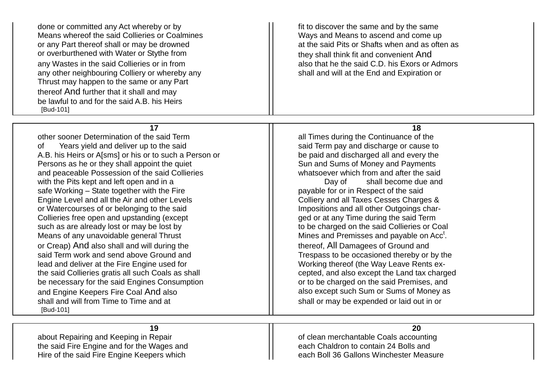done or committed any Act whereby or by  $\vert$  fit to discover the same and by the same Means whereof the said Collieries or Coalmines Ways and Means to ascend and come up or any Part thereof shall or may be drowned at the said Pits or Shafts when and as often as or overburthened with Water or Stythe from the state of they shall think fit and convenient And any Wastes in the said Collieries or in from also that he the said C.D. his Exors or Admors any other neighbouring Colliery or whereby any shall and will at the End and Expiration or Thrust may happen to the same or any Part thereof And further that it shall and may be lawful to and for the said A.B. his Heirs [Bud-101]

other sooner Determination of the said Term and Term all Times during the Continuance of the of Years yield and deliver up to the said said said said Term pay and discharge or cause to A.B. his Heirs or A[sms] or his or to such a Person or **be paid and discharged all and every the** Persons as he or they shall appoint the quiet Sun and Sums of Money and Payments and peaceable Possession of the said Collieries **whatsoever which from and after the said** with the Pits kept and left open and in a vertex and  $\begin{array}{c} \text{Day of} \\ \text{Safe Working} \\ \text{Day of} \end{array}$  and safe Working – State together with the Fire safe Working – State together with the Fire Engine Level and all the Air and other Levels Colliery and all Taxes Cesses Charges & or Watercourses of or belonging to the said Impositions and all other Outgoings char-Collieries free open and upstanding (except genum in the said Term and Definition of the said Term control of term such as are already lost or may be lost by the such as are already lost or may be lost by Means of any unavoidable general Thrust  $\parallel$  Mines and Premisses and payable on Acc<sup>t</sup>. or Creap) And also shall and will during the the thereof, All Damagees of Ground and said Term work and send above Ground and Trespass to be occasioned thereby or by the lead and deliver at the Fire Engine used for  $\vert \vert$  Working thereof (the Way Leave Rents exthe said Collieries gratis all such Coals as shall excepted. The said Collieries gratis all such Coals as shall be necessary for the said Engines Consumption **or the said Premises**, and be charged on the said Premises, and and Engine Keepers Fire Coal And also also also also except such Sum or Sums of Money as shall and will from Time to Time and at shall or may be expended or laid out in or [Bud-101]

#### **17 18**

**19 20** about Repairing and Keeping in Repair **of Coals** of clean merchantable Coals accounting the said Fire Engine and for the Wages and each Chaldron to contain 24 Bolls and

Hire of the said Fire Engine Keepers which **Example 20** Fire 2011 each Boll 36 Gallons Winchester Measure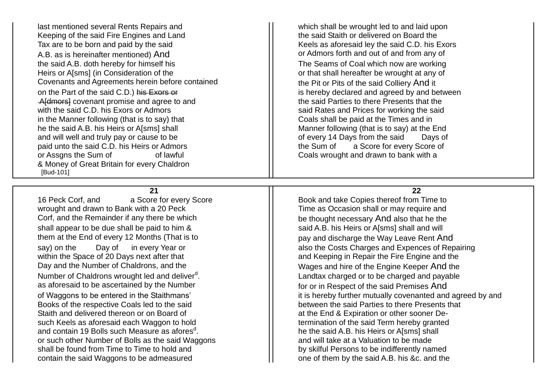last mentioned several Rents Repairs and <br>
Keeping of the said Fire Engines and Land<br>
Keeping of the said Fire Engines and Land<br>
Which shall be wrought led to and laid upon<br>
the said Staith or delivered on Board the Keeping of the said Fire Engines and Land Tax are to be born and paid by the said Keels as aforesaid ley the said C.D. his Exors A.B. as is hereinafter mentioned) And and solution and a set of and from any of and from any of the said A.B. doth hereby for himself his The Seams of Coal which now are working Heirs or A[sms] (in Consideration of the or the or that shall hereafter be wrought at any of Covenants and Agreements herein before contained **the Pit or Pits of the said Colliery And it** on the Part of the said C.D.) his Exors or is hereby declared and agreed by and between Afdmorsh covenant promise and agree to and the said Parties to there Presents that the with the said C.D. his Exors or Admors said Rates and Prices for working the said in the Manner following (that is to say) that  $\vert$  Coals shall be paid at the Times and in he the said A.B. his Heirs or A[sms] shall Manner following (that is to say) at the End and will well and truly pay or cause to be **of exery 14 Days from the said** Days of paid unto the said C.D. his Heirs or Admors **the Sum of a Score for every Score of** paid unto the said C.D. his Heirs or Admors or Assgns the Sum of **coals** of lawful **Coals** wrought and drawn to bank with a & Money of Great Britain for every Chaldron [Bud-101]

### **21 22**

16 Peck Corf, and a Score for every Score Book and take Copies thereof from Time to say) on the Day of in every Year or also the Costs Charges and Expences of Repairing . Landtax charged or to be charged and payable of Waggons to be entered in the Staithmans' it is hereby further mutually covenanted and agreed by and . he the said A.B. his Heirs or A[sms] shall

wrought and drawn to Bank with a 20 Peck  $\vert$  Time as Occasion shall or may require and Corf, and the Remainder if any there be which be thought necessary And also that he the shall appear to be due shall be paid to him & said A.B. his Heirs or A[sms] shall and will them at the End of every 12 Months (That is to pay and discharge the Way Leave Rent And within the Space of 20 Days next after that and Keeping in Repair the Fire Engine and the Day and the Number of Chaldrons, and the Wages and hire of the Engine Keeper And the Number of Chaldrons wrought led and deliver<sup>d</sup>. as aforesaid to be ascertained by the Number **Formal** for or in Respect of the said Premises And Books of the respective Coals led to the said **between** the said Parties to there Presents that Staith and delivered thereon or on Board of at the End & Expiration or other sooner Desuch Keels as aforesaid each Waggon to hold termination of the said Term hereby granted and contain 19 Bolls such Measure as afores<sup>d</sup>. or such other Number of Bolls as the said Waggons and Mull take at a Valuation to be made shall be found from Time to Time to hold and by skilful Persons to be indifferently named contain the said Waggons to be admeasured **one of them by the said A.B.** his &c. and the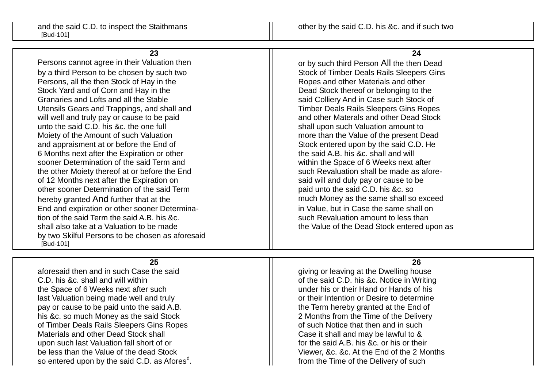**23 24** Persons cannot agree in their Valuation then **Fig. 1.1 Follow 1.1 Fig. 1.1 Fig. 1.1** Fig. 2.1 Fig. 2.1 Fig. 2.1 Fig. 2.1 Fig. 2.1 Fig. 2.1 Fig. 2.1 Fig. 2.1 Fig. 2.1 Fig. 2.1 Fig. 2.1 Fig. 2.1 Fig. 2.1 Fig. 2.1 Fig. 2.1 Fi by a third Person to be chosen by such two Such Stock of Timber Deals Rails Sleepers Gins Persons, all the then Stock of Hay in the Ropes and other Materials and other Materials and other Stock Yard and of Corn and Hay in the Stock True Dead Stock thereof or belonging to the Granaries and Lofts and all the Stable said Colliery And in Case such Stock of Utensils Gears and Trappings, and shall and Translated Translated Translated Translates Gins Ropes will well and truly pay or cause to be paid and stock and other Materals and other Dead Stock unto the said C.D. his &c. the one full  $\vert$  shall upon such Valuation amount to Moiety of the Amount of such Valuation more in the Value of the present Dead and appraisment at or before the End of Stock entered upon by the said C.D. He 6 Months next after the Expiration or other the said A.B. his &c. shall and will sooner Determination of the said Term and sooner Determination of the said Term and the other Moiety thereof at or before the End such Revaluation shall be made as aforeof 12 Months next after the Expiration on said will and duly pay or cause to be other sooner Determination of the said Term paid unto the said C.D. his &c. so hereby granted And further that at the much Money as the same shall so exceed End and expiration or other sooner Determina- in Value, but in Case the same shall on tion of the said Term the said A.B. his &c. such Revaluation amount to less than shall also take at a Valuation to be made the Value of the Value of the Dead Stock entered upon as

aforesaid then and in such Case the said  $\vert$  giving or leaving at the Dwelling house C.D. his &c. shall and will within of the said C.D. his &c. Notice in Writing the Space of 6 Weeks next after such under his or their Hand or Hands of his last Valuation being made well and truly and the state of their Intention or Desire to determine pay or cause to be paid unto the said A.B. the Term hereby granted at the End of his &c. so much Money as the said Stock 2 Months from the Time of the Delivery of Timber Deals Rails Sleepers Gins Ropes **of Supering Contract Contract Contract** of such Notice that then and in such Materials and other Dead Stock shall Materials and other Dead Stock shall Case it shall and may be lawful to & upon such last Valuation fall short of or **for the said A.B. his &c. or his or their** for the said A.B. his &c. or his or their be less than the Value of the dead Stock Viewer, &c. &c. At the End of the 2 Months so entered upon by the said C.D. as Afores<sup>d</sup>.

by two Skilful Persons to be chosen as aforesaid

[Bud-101]

## **25 26**

from the Time of the Delivery of such